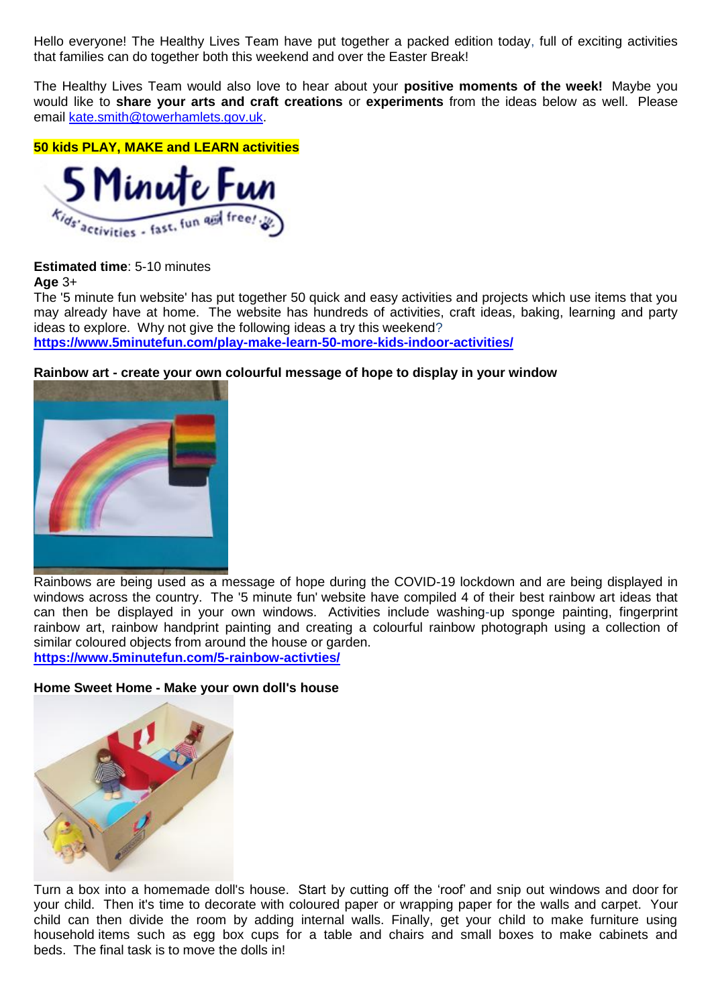Hello everyone! The Healthy Lives Team have put together a packed edition today, full of exciting activities that families can do together both this weekend and over the Easter Break!

The Healthy Lives Team would also love to hear about your **positive moments of the week!** Maybe you would like to **share your arts and craft creations** or **experiments** from the ideas below as well. Please email [kate.smith@towerhamlets.gov.uk.](mailto:kate.smith@towerhamlets.gov.uk)

**50 kids PLAY, MAKE and LEARN activities**



# **Estimated time**: 5-10 minutes

#### **Age** 3+

The '5 minute fun website' has put together 50 quick and easy activities and projects which use items that you may already have at home. The website has hundreds of activities, craft ideas, baking, learning and party ideas to explore. Why not give the following ideas a try this weekend?

**<https://www.5minutefun.com/play-make-learn-50-more-kids-indoor-activities/>**

## **Rainbow art - create your own colourful message of hope to display in your window**



Rainbows are being used as a message of hope during the COVID-19 lockdown and are being displayed in windows across the country. The '5 minute fun' website have compiled 4 of their best rainbow art ideas that can then be displayed in your own windows. Activities include washing-up sponge painting, fingerprint rainbow art, rainbow handprint painting and creating a colourful rainbow photograph using a collection of similar coloured objects from around the house or garden. **<https://www.5minutefun.com/5-rainbow-activties/>**

**Home Sweet Home - Make your own doll's house**



Turn a box into a homemade doll's house. Start by cutting off the 'roof' and snip out windows and door for your child. Then it's time to decorate with coloured paper or wrapping paper for the walls and carpet. Your child can then divide the room by adding internal walls. Finally, get your child to make furniture using household items such as egg box cups for a table and chairs and small boxes to make cabinets and beds. The final task is to move the dolls in!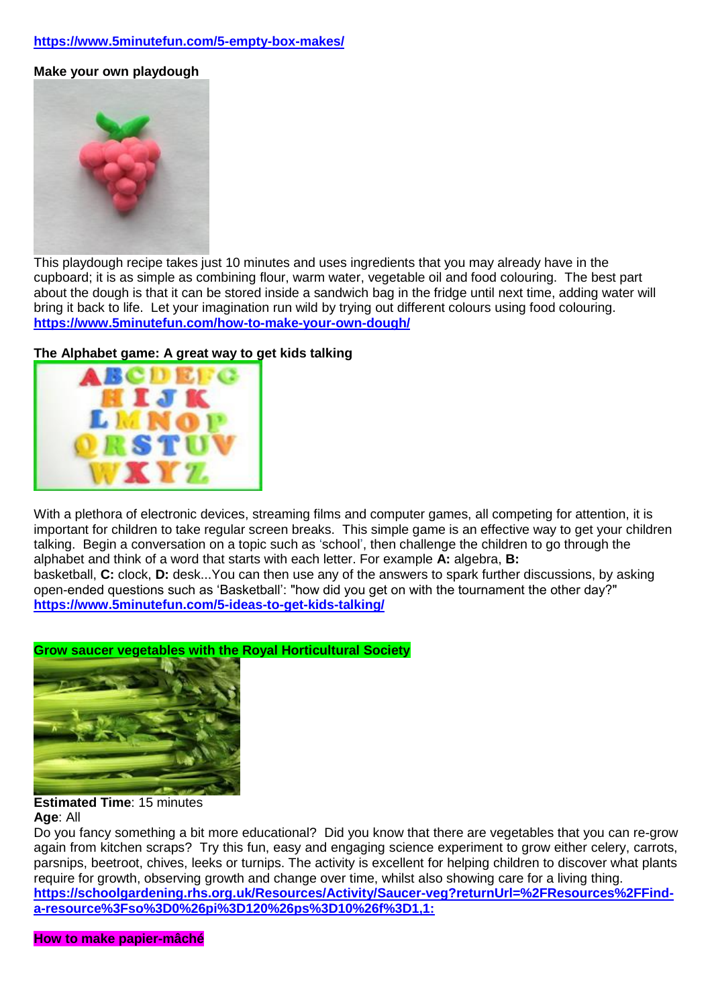# **<https://www.5minutefun.com/5-empty-box-makes/>**

**Make your own playdough**



This playdough recipe takes just 10 minutes and uses ingredients that you may already have in the cupboard; it is as simple as combining flour, warm water, vegetable oil and food colouring. The best part about the dough is that it can be stored inside a sandwich bag in the fridge until next time, adding water will bring it back to life. Let your imagination run wild by trying out different colours using food colouring. **<https://www.5minutefun.com/how-to-make-your-own-dough/>**

## **The Alphabet game: A great way to get kids talking**



With a plethora of electronic devices, streaming films and computer games, all competing for attention, it is important for children to take regular screen breaks. This simple game is an effective way to get your children talking. Begin a conversation on a topic such as 'school', then challenge the children to go through the alphabet and think of a word that starts with each letter. For example **A:** algebra, **B:** basketball, **C:** clock, **D:** desk...You can then use any of the answers to spark further discussions, by asking

open-ended questions such as 'Basketball': "how did you get on with the tournament the other day?" **<https://www.5minutefun.com/5-ideas-to-get-kids-talking/>**

## **Grow saucer vegetables with the Royal Horticultural Society**



#### **Estimated Time**: 15 minutes **Age**: All

Do you fancy something a bit more educational? Did you know that there are vegetables that you can re-grow again from kitchen scraps? Try this fun, easy and engaging science experiment to grow either celery, carrots, parsnips, beetroot, chives, leeks or turnips. The activity is excellent for helping children to discover what plants require for growth, observing growth and change over time, whilst also showing care for a living thing. **[https://schoolgardening.rhs.org.uk/Resources/Activity/Saucer-veg?returnUrl=%2FResources%2FFind](https://schoolgardening.rhs.org.uk/Resources/Activity/Saucer-veg?returnUrl=%2FResources%2FFind-a-resource%3Fso%3D0%26pi%3D120%26ps%3D10%26f%3D1,1:)[a-resource%3Fso%3D0%26pi%3D120%26ps%3D10%26f%3D1,1:](https://schoolgardening.rhs.org.uk/Resources/Activity/Saucer-veg?returnUrl=%2FResources%2FFind-a-resource%3Fso%3D0%26pi%3D120%26ps%3D10%26f%3D1,1:)**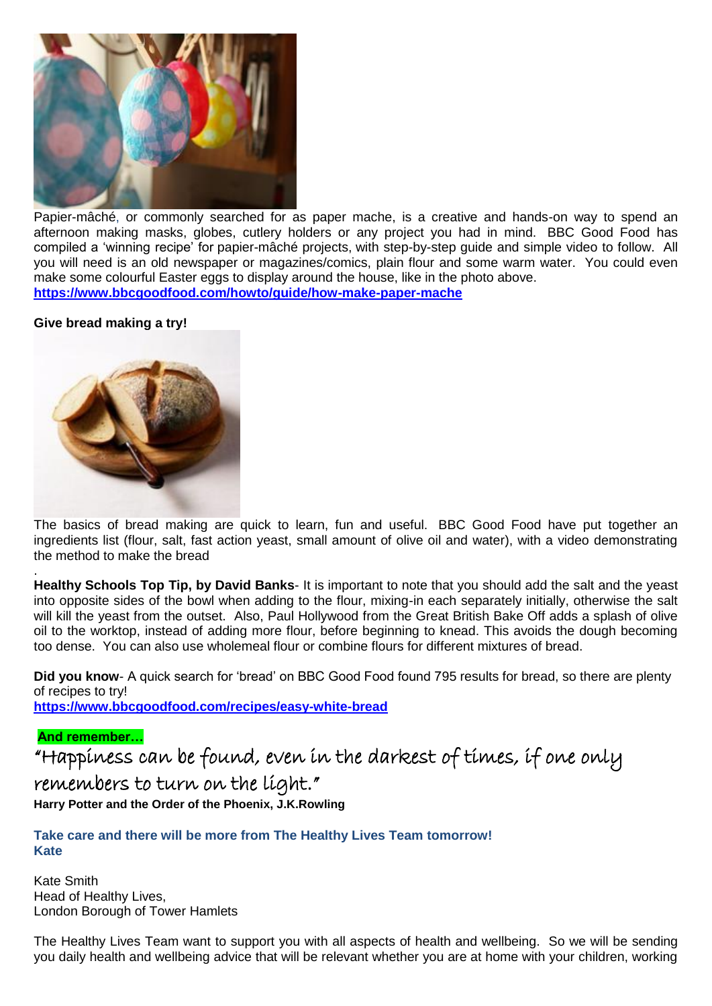

Papier-mâché, or commonly searched for as paper mache, is a creative and hands-on way to spend an afternoon making masks, globes, cutlery holders or any project you had in mind. BBC Good Food has compiled a 'winning recipe' for papier-mâché projects, with step-by-step guide and simple video to follow. All you will need is an old newspaper or magazines/comics, plain flour and some warm water. You could even make some colourful Easter eggs to display around the house, like in the photo above. **<https://www.bbcgoodfood.com/howto/guide/how-make-paper-mache>**

## **Give bread making a try!**



The basics of bread making are quick to learn, fun and useful. BBC Good Food have put together an ingredients list (flour, salt, fast action yeast, small amount of olive oil and water), with a video demonstrating the method to make the bread

**Healthy Schools Top Tip, by David Banks**- It is important to note that you should add the salt and the yeast into opposite sides of the bowl when adding to the flour, mixing-in each separately initially, otherwise the salt will kill the yeast from the outset. Also, Paul Hollywood from the Great British Bake Off adds a splash of olive oil to the worktop, instead of adding more flour, before beginning to knead. This avoids the dough becoming too dense. You can also use wholemeal flour or combine flours for different mixtures of bread.

**Did you know**- A quick search for 'bread' on BBC Good Food found 795 results for bread, so there are plenty of recipes to try!

**<https://www.bbcgoodfood.com/recipes/easy-white-bread>**

## **And remember…**

.

"Happiness can be found, even in the darkest of times, if one only remembers to turn on the light."

**Harry Potter and the Order of the Phoenix, J.K.Rowling**

**Take care and there will be more from The Healthy Lives Team tomorrow! Kate**

Kate Smith Head of Healthy Lives, London Borough of Tower Hamlets

The Healthy Lives Team want to support you with all aspects of health and wellbeing. So we will be sending you daily health and wellbeing advice that will be relevant whether you are at home with your children, working